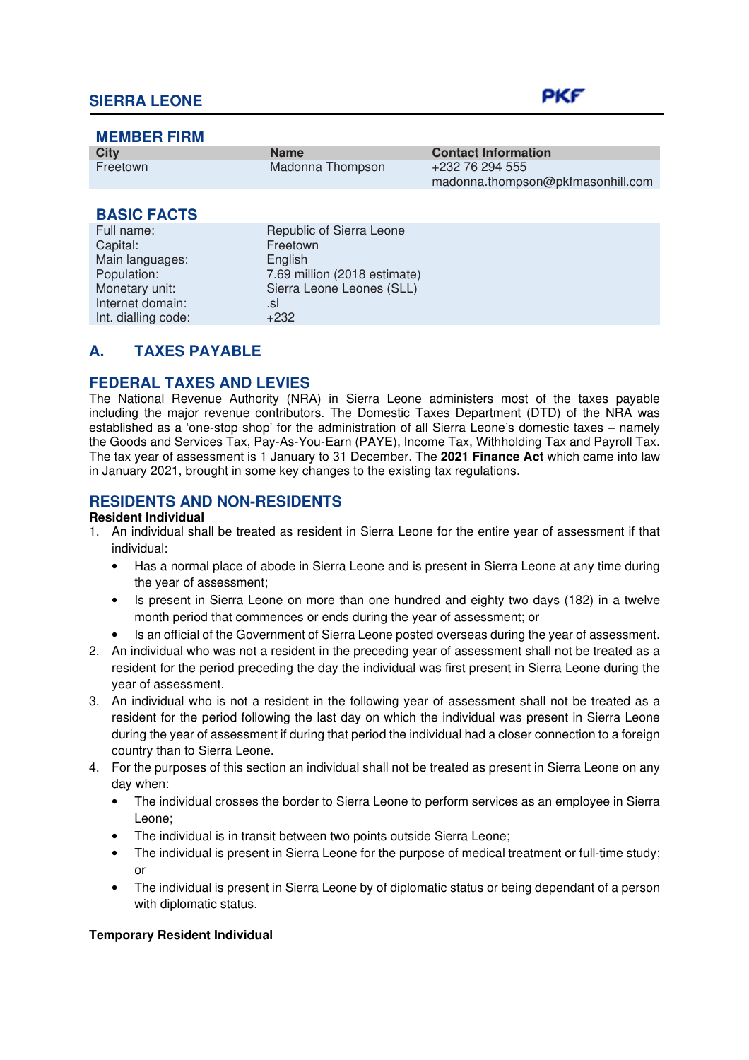| <b>MEMBER FIRM</b>  |                              |                                                      |
|---------------------|------------------------------|------------------------------------------------------|
| <b>City</b>         | <b>Name</b>                  | <b>Contact Information</b>                           |
| Freetown            | Madonna Thompson             | +232 76 294 555<br>madonna.thompson@pkfmasonhill.com |
|                     |                              |                                                      |
| <b>BASIC FACTS</b>  |                              |                                                      |
| Full name:          | Republic of Sierra Leone     |                                                      |
| Capital:            | Freetown                     |                                                      |
| Main languages:     | English                      |                                                      |
| Population:         | 7.69 million (2018 estimate) |                                                      |
| Monetary unit:      | Sierra Leone Leones (SLL)    |                                                      |
| Internet domain:    | .sl                          |                                                      |
| Int. dialling code: | $+232$                       |                                                      |

# **A. TAXES PAYABLE**

## **FEDERAL TAXES AND LEVIES**

The National Revenue Authority (NRA) in Sierra Leone administers most of the taxes payable including the major revenue contributors. The Domestic Taxes Department (DTD) of the NRA was established as a 'one-stop shop' for the administration of all Sierra Leone's domestic taxes – namely the Goods and Services Tax, Pay-As-You-Earn (PAYE), Income Tax, Withholding Tax and Payroll Tax. The tax year of assessment is 1 January to 31 December. The **2021 Finance Act** which came into law in January 2021, brought in some key changes to the existing tax regulations.

## **RESIDENTS AND NON-RESIDENTS**

#### **Resident Individual**

- 1. An individual shall be treated as resident in Sierra Leone for the entire year of assessment if that individual:
	- Has a normal place of abode in Sierra Leone and is present in Sierra Leone at any time during the year of assessment;
	- Is present in Sierra Leone on more than one hundred and eighty two days (182) in a twelve month period that commences or ends during the year of assessment; or
	- Is an official of the Government of Sierra Leone posted overseas during the year of assessment.
- 2. An individual who was not a resident in the preceding year of assessment shall not be treated as a resident for the period preceding the day the individual was first present in Sierra Leone during the year of assessment.
- 3. An individual who is not a resident in the following year of assessment shall not be treated as a resident for the period following the last day on which the individual was present in Sierra Leone during the year of assessment if during that period the individual had a closer connection to a foreign country than to Sierra Leone.
- 4. For the purposes of this section an individual shall not be treated as present in Sierra Leone on any day when:
	- The individual crosses the border to Sierra Leone to perform services as an employee in Sierra Leone;
	- The individual is in transit between two points outside Sierra Leone;
	- The individual is present in Sierra Leone for the purpose of medical treatment or full-time study; or
	- The individual is present in Sierra Leone by of diplomatic status or being dependant of a person with diplomatic status.

#### **Temporary Resident Individual**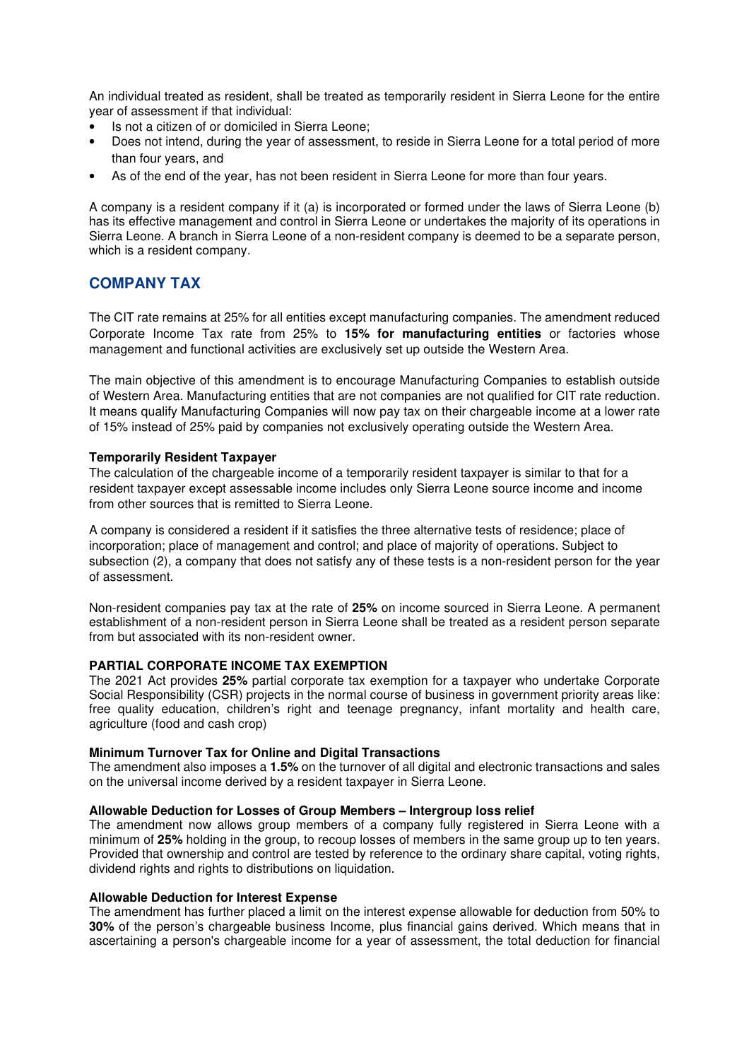An individual treated as resident, shall be treated as temporarily resident in Sierra Leone for the entire year of assessment if that individual:

- Is not a citizen of or domiciled in Sierra Leone;
- Does not intend, during the year of assessment, to reside in Sierra Leone for a total period of more than four years, and
- As of the end of the year, has not been resident in Sierra Leone for more than four years.

A company is a resident company if it (a) is incorporated or formed under the laws of Sierra Leone (b) has its effective management and control in Sierra Leone or undertakes the majority of its operations in Sierra Leone. A branch in Sierra Leone of a non-resident company is deemed to be a separate person, which is a resident company.

## **COMPANY TAX**

The CIT rate remains at 25% for all entities except manufacturing companies. The amendment reduced Corporate Income Tax rate from 25% to **15% for manufacturing entities** or factories whose management and functional activities are exclusively set up outside the Western Area.

The main objective of this amendment is to encourage Manufacturing Companies to establish outside of Western Area. Manufacturing entities that are not companies are not qualified for CIT rate reduction. It means qualify Manufacturing Companies will now pay tax on their chargeable income at a lower rate of 15% instead of 25% paid by companies not exclusively operating outside the Western Area.

#### **Temporarily Resident Taxpayer**

The calculation of the chargeable income of a temporarily resident taxpayer is similar to that for a resident taxpayer except assessable income includes only Sierra Leone source income and income from other sources that is remitted to Sierra Leone.

A company is considered a resident if it satisfies the three alternative tests of residence; place of incorporation; place of management and control; and place of majority of operations. Subject to subsection (2), a company that does not satisfy any of these tests is a non-resident person for the year of assessment.

Non-resident companies pay tax at the rate of **25%** on income sourced in Sierra Leone. A permanent establishment of a non-resident person in Sierra Leone shall be treated as a resident person separate from but associated with its non-resident owner.

#### **PARTIAL CORPORATE INCOME TAX EXEMPTION**

The 2021 Act provides **25%** partial corporate tax exemption for a taxpayer who undertake Corporate Social Responsibility (CSR) projects in the normal course of business in government priority areas like: free quality education, children's right and teenage pregnancy, infant mortality and health care, agriculture (food and cash crop)

#### **Minimum Turnover Tax for Online and Digital Transactions**

The amendment also imposes a **1.5%** on the turnover of all digital and electronic transactions and sales on the universal income derived by a resident taxpayer in Sierra Leone.

#### **Allowable Deduction for Losses of Group Members – Intergroup loss relief**

The amendment now allows group members of a company fully registered in Sierra Leone with a minimum of **25%** holding in the group, to recoup losses of members in the same group up to ten years. Provided that ownership and control are tested by reference to the ordinary share capital, voting rights, dividend rights and rights to distributions on liquidation.

#### **Allowable Deduction for Interest Expense**

The amendment has further placed a limit on the interest expense allowable for deduction from 50% to **30%** of the person's chargeable business Income, plus financial gains derived. Which means that in ascertaining a person's chargeable income for a year of assessment, the total deduction for financial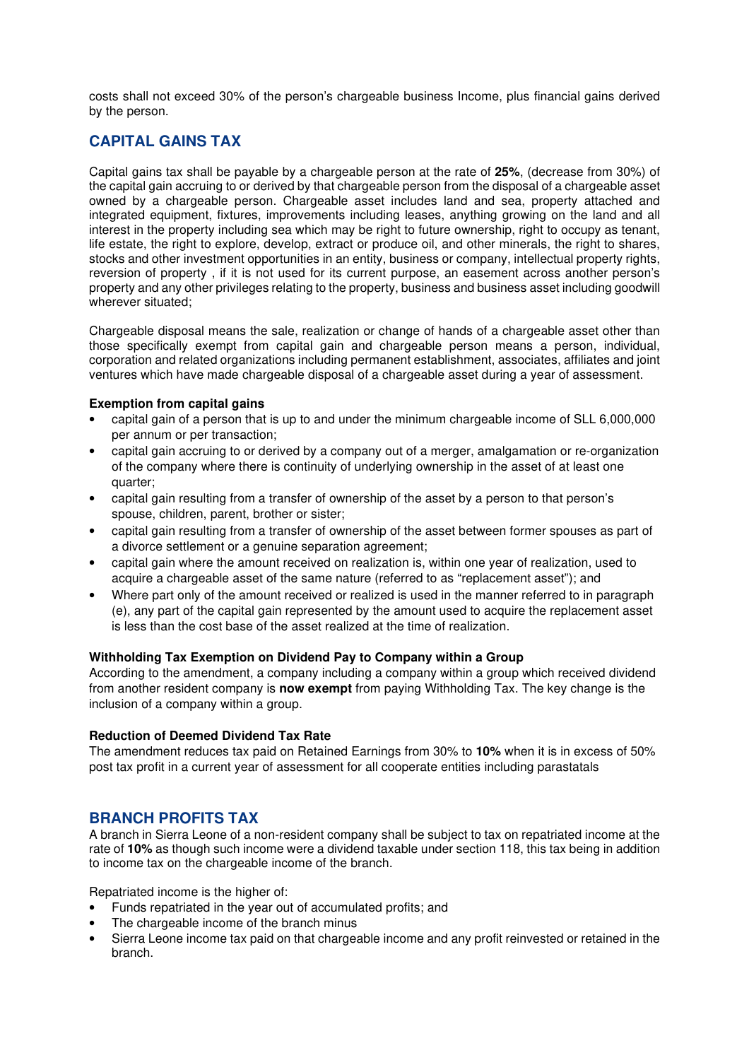costs shall not exceed 30% of the person's chargeable business Income, plus financial gains derived by the person.

## **CAPITAL GAINS TAX**

Capital gains tax shall be payable by a chargeable person at the rate of **25%**, (decrease from 30%) of the capital gain accruing to or derived by that chargeable person from the disposal of a chargeable asset owned by a chargeable person. Chargeable asset includes land and sea, property attached and integrated equipment, fixtures, improvements including leases, anything growing on the land and all interest in the property including sea which may be right to future ownership, right to occupy as tenant, life estate, the right to explore, develop, extract or produce oil, and other minerals, the right to shares, stocks and other investment opportunities in an entity, business or company, intellectual property rights, reversion of property , if it is not used for its current purpose, an easement across another person's property and any other privileges relating to the property, business and business asset including goodwill wherever situated;

Chargeable disposal means the sale, realization or change of hands of a chargeable asset other than those specifically exempt from capital gain and chargeable person means a person, individual, corporation and related organizations including permanent establishment, associates, affiliates and joint ventures which have made chargeable disposal of a chargeable asset during a year of assessment.

#### **Exemption from capital gains**

- capital gain of a person that is up to and under the minimum chargeable income of SLL 6,000,000 per annum or per transaction;
- capital gain accruing to or derived by a company out of a merger, amalgamation or re-organization of the company where there is continuity of underlying ownership in the asset of at least one quarter;
- capital gain resulting from a transfer of ownership of the asset by a person to that person's spouse, children, parent, brother or sister;
- capital gain resulting from a transfer of ownership of the asset between former spouses as part of a divorce settlement or a genuine separation agreement;
- capital gain where the amount received on realization is, within one year of realization, used to acquire a chargeable asset of the same nature (referred to as "replacement asset"); and
- Where part only of the amount received or realized is used in the manner referred to in paragraph (e), any part of the capital gain represented by the amount used to acquire the replacement asset is less than the cost base of the asset realized at the time of realization.

#### **Withholding Tax Exemption on Dividend Pay to Company within a Group**

According to the amendment, a company including a company within a group which received dividend from another resident company is **now exempt** from paying Withholding Tax. The key change is the inclusion of a company within a group.

#### **Reduction of Deemed Dividend Tax Rate**

The amendment reduces tax paid on Retained Earnings from 30% to **10%** when it is in excess of 50% post tax profit in a current year of assessment for all cooperate entities including parastatals

## **BRANCH PROFITS TAX**

A branch in Sierra Leone of a non-resident company shall be subject to tax on repatriated income at the rate of **10%** as though such income were a dividend taxable under section 118, this tax being in addition to income tax on the chargeable income of the branch.

Repatriated income is the higher of:

- Funds repatriated in the year out of accumulated profits; and
- The chargeable income of the branch minus
- Sierra Leone income tax paid on that chargeable income and any profit reinvested or retained in the branch.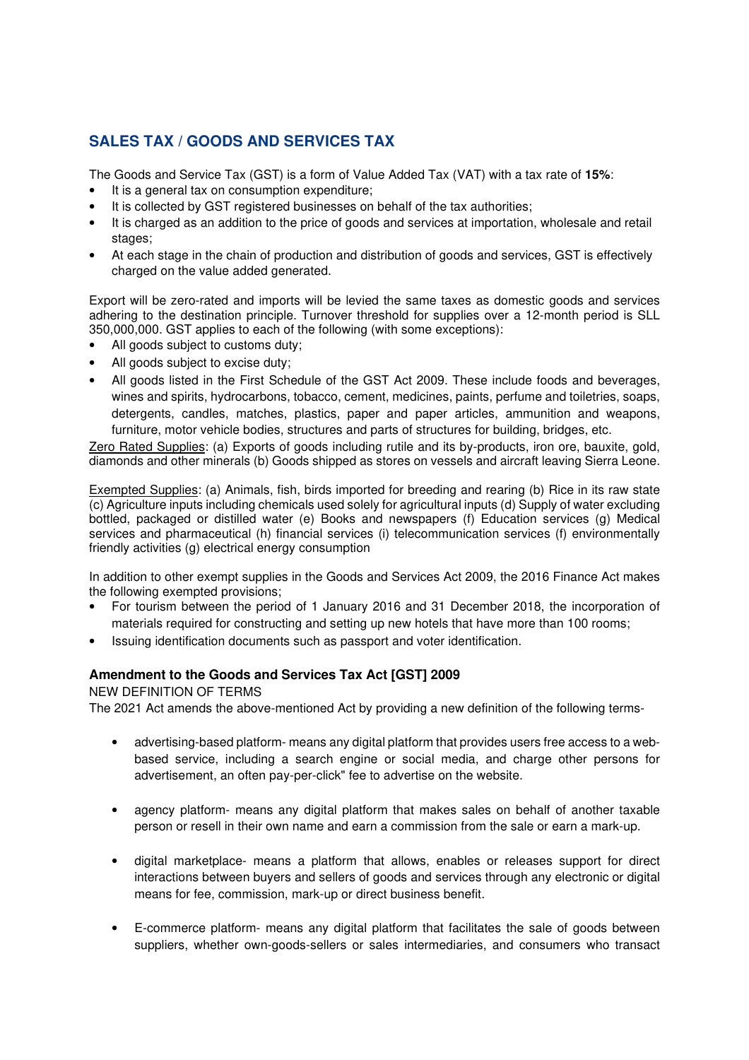# **SALES TAX / GOODS AND SERVICES TAX**

The Goods and Service Tax (GST) is a form of Value Added Tax (VAT) with a tax rate of **15%**:

- It is a general tax on consumption expenditure;
- It is collected by GST registered businesses on behalf of the tax authorities;
- It is charged as an addition to the price of goods and services at importation, wholesale and retail stages;
- At each stage in the chain of production and distribution of goods and services, GST is effectively charged on the value added generated.

Export will be zero-rated and imports will be levied the same taxes as domestic goods and services adhering to the destination principle. Turnover threshold for supplies over a 12-month period is SLL 350,000,000. GST applies to each of the following (with some exceptions):

- All goods subject to customs duty;
- All goods subject to excise duty;
- All goods listed in the First Schedule of the GST Act 2009. These include foods and beverages, wines and spirits, hydrocarbons, tobacco, cement, medicines, paints, perfume and toiletries, soaps, detergents, candles, matches, plastics, paper and paper articles, ammunition and weapons, furniture, motor vehicle bodies, structures and parts of structures for building, bridges, etc.

Zero Rated Supplies: (a) Exports of goods including rutile and its by-products, iron ore, bauxite, gold, diamonds and other minerals (b) Goods shipped as stores on vessels and aircraft leaving Sierra Leone.

Exempted Supplies: (a) Animals, fish, birds imported for breeding and rearing (b) Rice in its raw state (c) Agriculture inputs including chemicals used solely for agricultural inputs (d) Supply of water excluding bottled, packaged or distilled water (e) Books and newspapers (f) Education services (g) Medical services and pharmaceutical (h) financial services (i) telecommunication services (f) environmentally friendly activities (g) electrical energy consumption

In addition to other exempt supplies in the Goods and Services Act 2009, the 2016 Finance Act makes the following exempted provisions;

- For tourism between the period of 1 January 2016 and 31 December 2018, the incorporation of materials required for constructing and setting up new hotels that have more than 100 rooms;
- Issuing identification documents such as passport and voter identification.

#### **Amendment to the Goods and Services Tax Act [GST] 2009**

#### NEW DEFINITION OF TERMS

The 2021 Act amends the above-mentioned Act by providing a new definition of the following terms-

- advertising-based platform- means any digital platform that provides users free access to a webbased service, including a search engine or social media, and charge other persons for advertisement, an often pay-per-click" fee to advertise on the website.
- agency platform- means any digital platform that makes sales on behalf of another taxable person or resell in their own name and earn a commission from the sale or earn a mark-up.
- digital marketplace- means a platform that allows, enables or releases support for direct interactions between buyers and sellers of goods and services through any electronic or digital means for fee, commission, mark-up or direct business benefit.
- E-commerce platform- means any digital platform that facilitates the sale of goods between suppliers, whether own-goods-sellers or sales intermediaries, and consumers who transact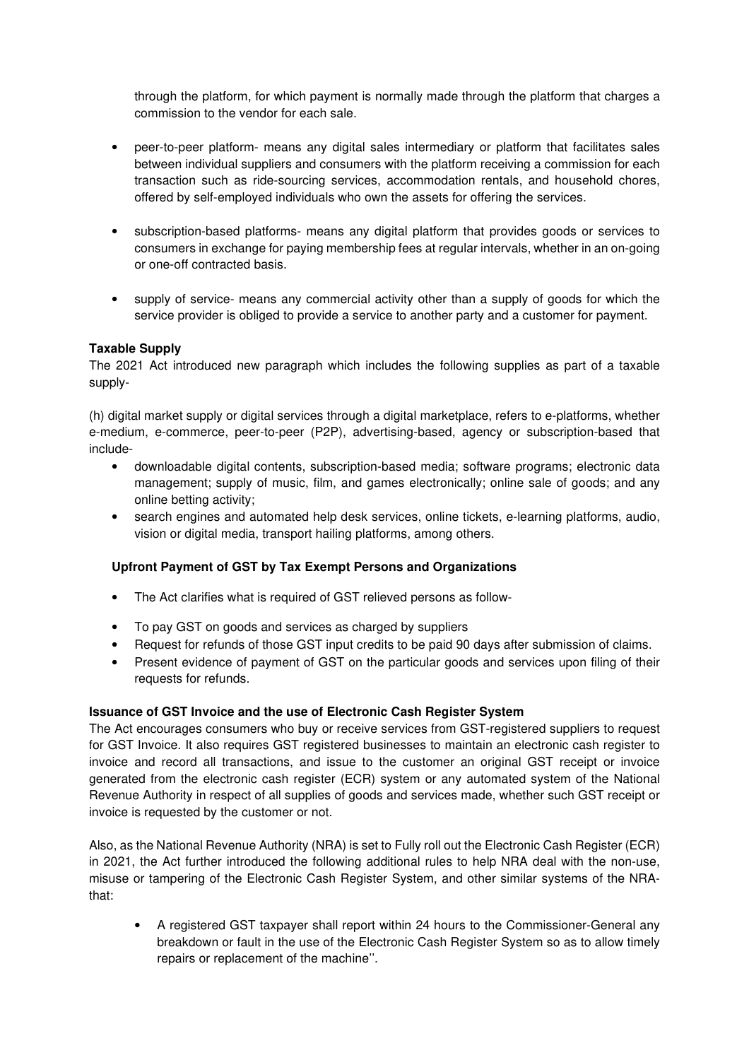through the platform, for which payment is normally made through the platform that charges a commission to the vendor for each sale.

- peer-to-peer platform- means any digital sales intermediary or platform that facilitates sales between individual suppliers and consumers with the platform receiving a commission for each transaction such as ride-sourcing services, accommodation rentals, and household chores, offered by self-employed individuals who own the assets for offering the services.
- subscription-based platforms- means any digital platform that provides goods or services to consumers in exchange for paying membership fees at regular intervals, whether in an on-going or one-off contracted basis.
- supply of service- means any commercial activity other than a supply of goods for which the service provider is obliged to provide a service to another party and a customer for payment.

### **Taxable Supply**

The 2021 Act introduced new paragraph which includes the following supplies as part of a taxable supply-

(h) digital market supply or digital services through a digital marketplace, refers to e-platforms, whether e-medium, e-commerce, peer-to-peer (P2P), advertising-based, agency or subscription-based that include-

- downloadable digital contents, subscription-based media; software programs; electronic data management; supply of music, film, and games electronically; online sale of goods; and any online betting activity;
- search engines and automated help desk services, online tickets, e-learning platforms, audio, vision or digital media, transport hailing platforms, among others.

## **Upfront Payment of GST by Tax Exempt Persons and Organizations**

- The Act clarifies what is required of GST relieved persons as follow-
- To pay GST on goods and services as charged by suppliers
- Request for refunds of those GST input credits to be paid 90 days after submission of claims.
- Present evidence of payment of GST on the particular goods and services upon filing of their requests for refunds.

#### **Issuance of GST Invoice and the use of Electronic Cash Register System**

The Act encourages consumers who buy or receive services from GST-registered suppliers to request for GST Invoice. It also requires GST registered businesses to maintain an electronic cash register to invoice and record all transactions, and issue to the customer an original GST receipt or invoice generated from the electronic cash register (ECR) system or any automated system of the National Revenue Authority in respect of all supplies of goods and services made, whether such GST receipt or invoice is requested by the customer or not.

Also, as the National Revenue Authority (NRA) is set to Fully roll out the Electronic Cash Register (ECR) in 2021, the Act further introduced the following additional rules to help NRA deal with the non-use, misuse or tampering of the Electronic Cash Register System, and other similar systems of the NRAthat:

• A registered GST taxpayer shall report within 24 hours to the Commissioner-General any breakdown or fault in the use of the Electronic Cash Register System so as to allow timely repairs or replacement of the machine''.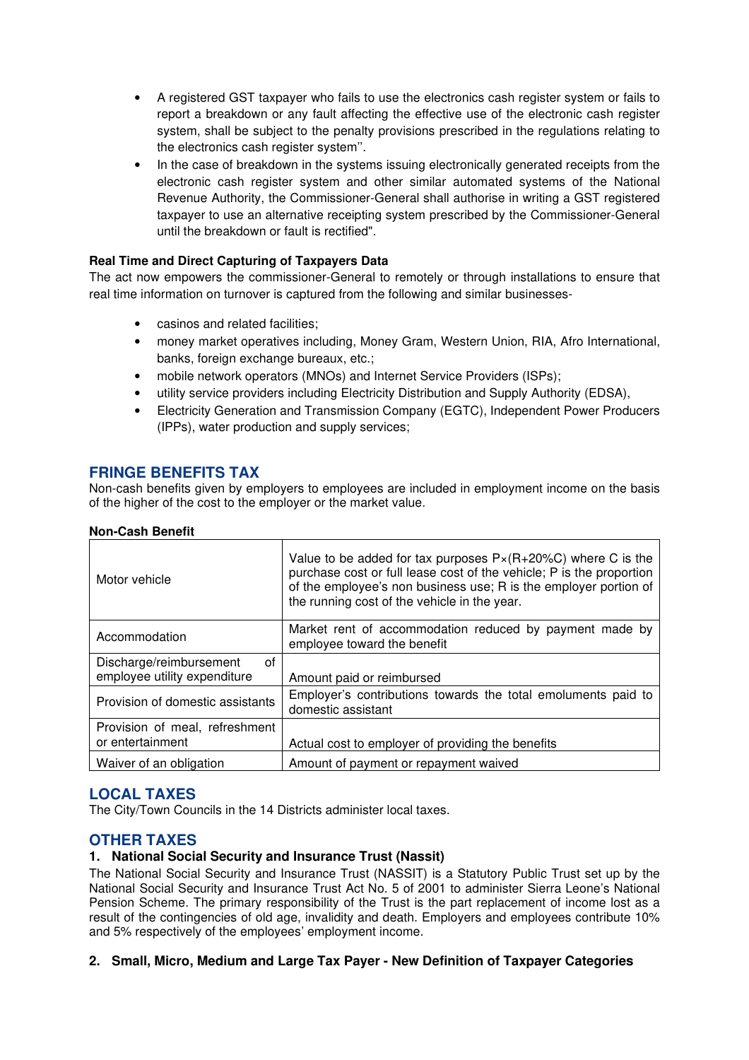- A registered GST taxpayer who fails to use the electronics cash register system or fails to report a breakdown or any fault affecting the effective use of the electronic cash register system, shall be subject to the penalty provisions prescribed in the regulations relating to the electronics cash register system''.
- In the case of breakdown in the systems issuing electronically generated receipts from the electronic cash register system and other similar automated systems of the National Revenue Authority, the Commissioner-General shall authorise in writing a GST registered taxpayer to use an alternative receipting system prescribed by the Commissioner-General until the breakdown or fault is rectified".

### **Real Time and Direct Capturing of Taxpayers Data**

The act now empowers the commissioner-General to remotely or through installations to ensure that real time information on turnover is captured from the following and similar businesses-

- casinos and related facilities;
- money market operatives including, Money Gram, Western Union, RIA, Afro International, banks, foreign exchange bureaux, etc.;
- mobile network operators (MNOs) and Internet Service Providers (ISPs);
- utility service providers including Electricity Distribution and Supply Authority (EDSA),
- Electricity Generation and Transmission Company (EGTC), Independent Power Producers (IPPs), water production and supply services;

## **FRINGE BENEFITS TAX**

Non-cash benefits given by employers to employees are included in employment income on the basis of the higher of the cost to the employer or the market value.

|  | <b>Non-Cash Benefit</b> |  |
|--|-------------------------|--|
|  |                         |  |

| Motor vehicle                                                 | Value to be added for tax purposes $P \times (R+20\%C)$ where C is the<br>purchase cost or full lease cost of the vehicle; P is the proportion<br>of the employee's non business use; R is the employer portion of<br>the running cost of the vehicle in the year. |
|---------------------------------------------------------------|--------------------------------------------------------------------------------------------------------------------------------------------------------------------------------------------------------------------------------------------------------------------|
| Accommodation                                                 | Market rent of accommodation reduced by payment made by<br>employee toward the benefit                                                                                                                                                                             |
| 0f<br>Discharge/reimbursement<br>employee utility expenditure |                                                                                                                                                                                                                                                                    |
|                                                               | Amount paid or reimbursed                                                                                                                                                                                                                                          |
| Provision of domestic assistants                              | Employer's contributions towards the total emoluments paid to<br>domestic assistant                                                                                                                                                                                |
| Provision of meal, refreshment                                |                                                                                                                                                                                                                                                                    |
| or entertainment                                              | Actual cost to employer of providing the benefits                                                                                                                                                                                                                  |
| Waiver of an obligation                                       | Amount of payment or repayment waived                                                                                                                                                                                                                              |

## **LOCAL TAXES**

The City/Town Councils in the 14 Districts administer local taxes.

## **OTHER TAXES**

#### **1. National Social Security and Insurance Trust (Nassit)**

The National Social Security and Insurance Trust (NASSIT) is a Statutory Public Trust set up by the National Social Security and Insurance Trust Act No. 5 of 2001 to administer Sierra Leone's National Pension Scheme. The primary responsibility of the Trust is the part replacement of income lost as a result of the contingencies of old age, invalidity and death. Employers and employees contribute 10% and 5% respectively of the employees' employment income.

#### **2. Small, Micro, Medium and Large Tax Payer - New Definition of Taxpayer Categories**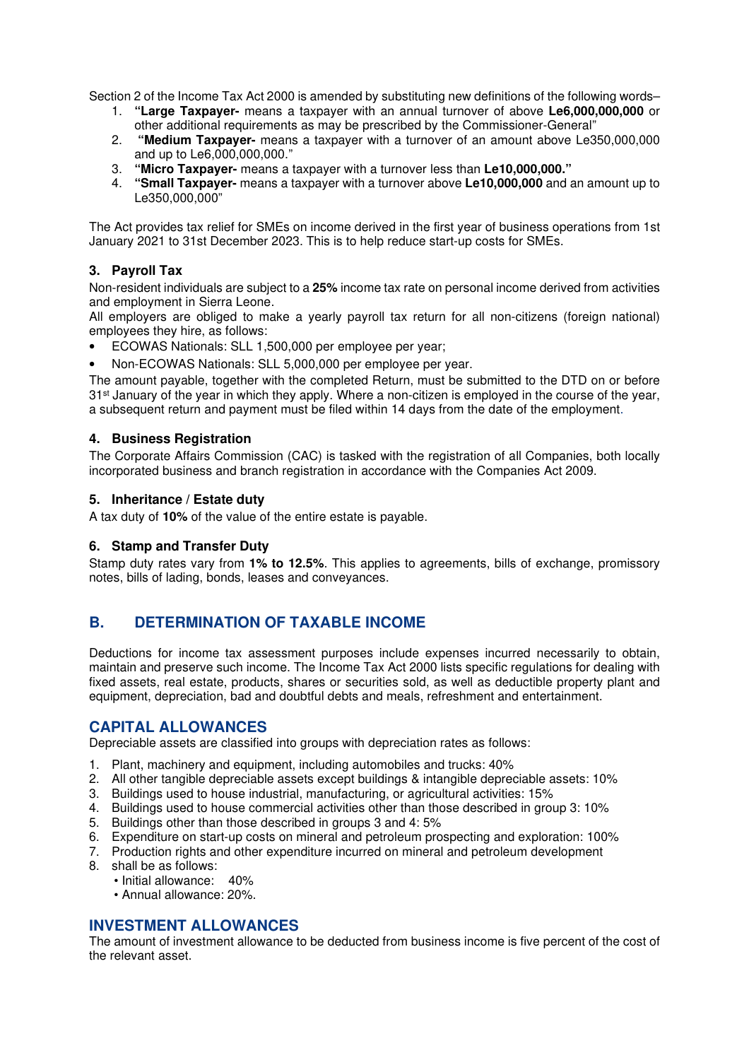Section 2 of the Income Tax Act 2000 is amended by substituting new definitions of the following words–

- 1. **"Large Taxpayer-** means a taxpayer with an annual turnover of above **Le6,000,000,000** or other additional requirements as may be prescribed by the Commissioner-General"
- 2. **"Medium Taxpayer-** means a taxpayer with a turnover of an amount above Le350,000,000 and up to Le6,000,000,000."
- 3. **"Micro Taxpayer-** means a taxpayer with a turnover less than **Le10,000,000."**
- 4. **"Small Taxpayer-** means a taxpayer with a turnover above **Le10,000,000** and an amount up to Le350,000,000"

The Act provides tax relief for SMEs on income derived in the first year of business operations from 1st January 2021 to 31st December 2023. This is to help reduce start-up costs for SMEs.

## **3. Payroll Tax**

Non-resident individuals are subject to a **25%** income tax rate on personal income derived from activities and employment in Sierra Leone.

All employers are obliged to make a yearly payroll tax return for all non-citizens (foreign national) employees they hire, as follows:

- ECOWAS Nationals: SLL 1,500,000 per employee per year;
- Non-ECOWAS Nationals: SLL 5,000,000 per employee per year.

The amount payable, together with the completed Return, must be submitted to the DTD on or before 31<sup>st</sup> January of the year in which they apply. Where a non-citizen is employed in the course of the year, a subsequent return and payment must be filed within 14 days from the date of the employment.

#### **4. Business Registration**

The Corporate Affairs Commission (CAC) is tasked with the registration of all Companies, both locally incorporated business and branch registration in accordance with the Companies Act 2009.

#### **5. Inheritance / Estate duty**

A tax duty of **10%** of the value of the entire estate is payable.

#### **6. Stamp and Transfer Duty**

Stamp duty rates vary from **1% to 12.5%**. This applies to agreements, bills of exchange, promissory notes, bills of lading, bonds, leases and conveyances.

## **B. DETERMINATION OF TAXABLE INCOME**

Deductions for income tax assessment purposes include expenses incurred necessarily to obtain, maintain and preserve such income. The Income Tax Act 2000 lists specific regulations for dealing with fixed assets, real estate, products, shares or securities sold, as well as deductible property plant and equipment, depreciation, bad and doubtful debts and meals, refreshment and entertainment.

## **CAPITAL ALLOWANCES**

Depreciable assets are classified into groups with depreciation rates as follows:

- 1. Plant, machinery and equipment, including automobiles and trucks: 40%
- 2. All other tangible depreciable assets except buildings & intangible depreciable assets: 10%
- 3. Buildings used to house industrial, manufacturing, or agricultural activities: 15%
- 4. Buildings used to house commercial activities other than those described in group 3: 10%
- 5. Buildings other than those described in groups 3 and 4: 5%
- 6. Expenditure on start-up costs on mineral and petroleum prospecting and exploration: 100%
- 7. Production rights and other expenditure incurred on mineral and petroleum development
- 8. shall be as follows:
	- Initial allowance: 40%
		- Annual allowance: 20%.

## **INVESTMENT ALLOWANCES**

The amount of investment allowance to be deducted from business income is five percent of the cost of the relevant asset.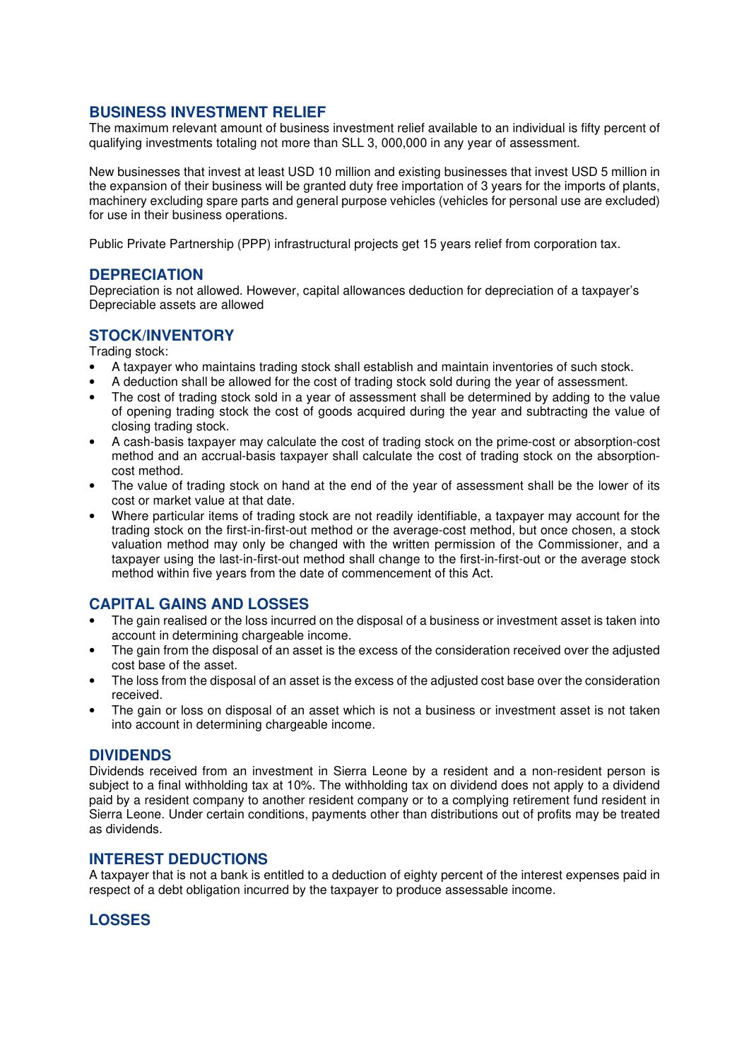## **BUSINESS INVESTMENT RELIEF**

The maximum relevant amount of business investment relief available to an individual is fifty percent of qualifying investments totaling not more than SLL 3, 000,000 in any year of assessment.

New businesses that invest at least USD 10 million and existing businesses that invest USD 5 million in the expansion of their business will be granted duty free importation of 3 years for the imports of plants, machinery excluding spare parts and general purpose vehicles (vehicles for personal use are excluded) for use in their business operations.

Public Private Partnership (PPP) infrastructural projects get 15 years relief from corporation tax.

## **DEPRECIATION**

Depreciation is not allowed. However, capital allowances deduction for depreciation of a taxpayer's Depreciable assets are allowed

## **STOCK/INVENTORY**

Trading stock:

- A taxpayer who maintains trading stock shall establish and maintain inventories of such stock.
- A deduction shall be allowed for the cost of trading stock sold during the year of assessment.
- The cost of trading stock sold in a year of assessment shall be determined by adding to the value of opening trading stock the cost of goods acquired during the year and subtracting the value of closing trading stock.
- A cash-basis taxpayer may calculate the cost of trading stock on the prime-cost or absorption-cost method and an accrual-basis taxpayer shall calculate the cost of trading stock on the absorptioncost method.
- The value of trading stock on hand at the end of the year of assessment shall be the lower of its cost or market value at that date.
- Where particular items of trading stock are not readily identifiable, a taxpayer may account for the trading stock on the first-in-first-out method or the average-cost method, but once chosen, a stock valuation method may only be changed with the written permission of the Commissioner, and a taxpayer using the last-in-first-out method shall change to the first-in-first-out or the average stock method within five years from the date of commencement of this Act.

# **CAPITAL GAINS AND LOSSES**

- The gain realised or the loss incurred on the disposal of a business or investment asset is taken into account in determining chargeable income.
- The gain from the disposal of an asset is the excess of the consideration received over the adjusted cost base of the asset.
- The loss from the disposal of an asset is the excess of the adjusted cost base over the consideration received.
- The gain or loss on disposal of an asset which is not a business or investment asset is not taken into account in determining chargeable income.

#### **DIVIDENDS**

Dividends received from an investment in Sierra Leone by a resident and a non-resident person is subject to a final withholding tax at 10%. The withholding tax on dividend does not apply to a dividend paid by a resident company to another resident company or to a complying retirement fund resident in Sierra Leone. Under certain conditions, payments other than distributions out of profits may be treated as dividends.

#### **INTEREST DEDUCTIONS**

A taxpayer that is not a bank is entitled to a deduction of eighty percent of the interest expenses paid in respect of a debt obligation incurred by the taxpayer to produce assessable income.

## **LOSSES**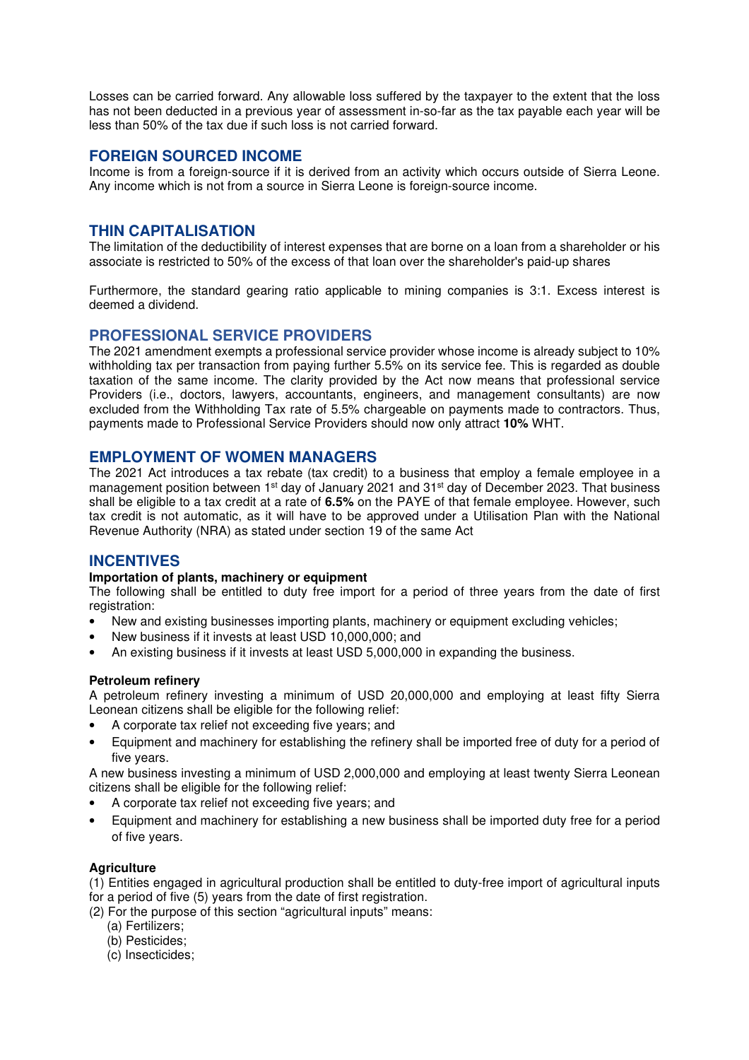Losses can be carried forward. Any allowable loss suffered by the taxpayer to the extent that the loss has not been deducted in a previous year of assessment in-so-far as the tax payable each year will be less than 50% of the tax due if such loss is not carried forward.

### **FOREIGN SOURCED INCOME**

Income is from a foreign-source if it is derived from an activity which occurs outside of Sierra Leone. Any income which is not from a source in Sierra Leone is foreign-source income.

## **THIN CAPITALISATION**

The limitation of the deductibility of interest expenses that are borne on a loan from a shareholder or his associate is restricted to 50% of the excess of that loan over the shareholder's paid-up shares

Furthermore, the standard gearing ratio applicable to mining companies is 3:1. Excess interest is deemed a dividend.

### **PROFESSIONAL SERVICE PROVIDERS**

The 2021 amendment exempts a professional service provider whose income is already subject to 10% withholding tax per transaction from paying further 5.5% on its service fee. This is regarded as double taxation of the same income. The clarity provided by the Act now means that professional service Providers (i.e., doctors, lawyers, accountants, engineers, and management consultants) are now excluded from the Withholding Tax rate of 5.5% chargeable on payments made to contractors. Thus, payments made to Professional Service Providers should now only attract **10%** WHT.

### **EMPLOYMENT OF WOMEN MANAGERS**

The 2021 Act introduces a tax rebate (tax credit) to a business that employ a female employee in a management position between 1<sup>st</sup> day of January 2021 and 31<sup>st</sup> day of December 2023. That business shall be eligible to a tax credit at a rate of **6.5%** on the PAYE of that female employee. However, such tax credit is not automatic, as it will have to be approved under a Utilisation Plan with the National Revenue Authority (NRA) as stated under section 19 of the same Act

## **INCENTIVES**

#### **Importation of plants, machinery or equipment**

The following shall be entitled to duty free import for a period of three years from the date of first registration:

- New and existing businesses importing plants, machinery or equipment excluding vehicles;
- New business if it invests at least USD 10,000,000; and
- An existing business if it invests at least USD 5,000,000 in expanding the business.

#### **Petroleum refinery**

A petroleum refinery investing a minimum of USD 20,000,000 and employing at least fifty Sierra Leonean citizens shall be eligible for the following relief:

- A corporate tax relief not exceeding five years; and
- Equipment and machinery for establishing the refinery shall be imported free of duty for a period of five years.

A new business investing a minimum of USD 2,000,000 and employing at least twenty Sierra Leonean citizens shall be eligible for the following relief:

- A corporate tax relief not exceeding five years; and
- Equipment and machinery for establishing a new business shall be imported duty free for a period of five years.

#### **Agriculture**

(1) Entities engaged in agricultural production shall be entitled to duty-free import of agricultural inputs for a period of five (5) years from the date of first registration.

- (2) For the purpose of this section "agricultural inputs" means:
	- (a) Fertilizers;
	- (b) Pesticides;
	- (c) Insecticides;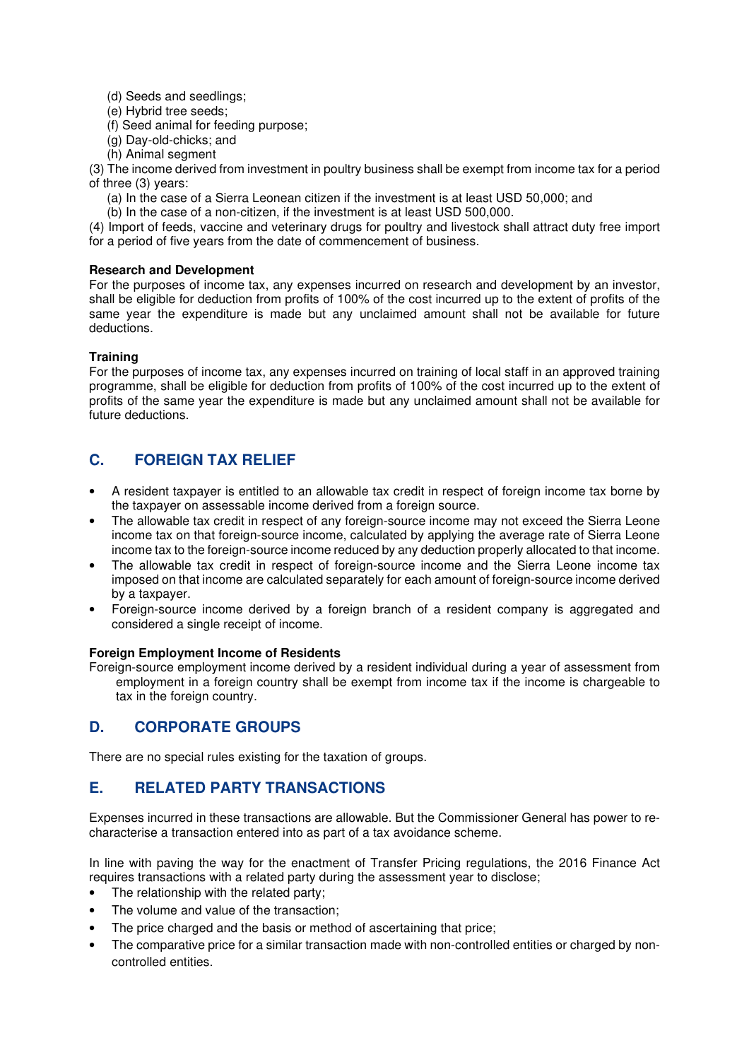- (d) Seeds and seedlings;
- (e) Hybrid tree seeds;
- (f) Seed animal for feeding purpose;
- (g) Day-old-chicks; and
- (h) Animal segment

(3) The income derived from investment in poultry business shall be exempt from income tax for a period of three (3) years:

- (a) In the case of a Sierra Leonean citizen if the investment is at least USD 50,000; and
- (b) In the case of a non-citizen, if the investment is at least USD 500,000.

(4) Import of feeds, vaccine and veterinary drugs for poultry and livestock shall attract duty free import for a period of five years from the date of commencement of business.

#### **Research and Development**

For the purposes of income tax, any expenses incurred on research and development by an investor, shall be eligible for deduction from profits of 100% of the cost incurred up to the extent of profits of the same year the expenditure is made but any unclaimed amount shall not be available for future deductions.

### **Training**

For the purposes of income tax, any expenses incurred on training of local staff in an approved training programme, shall be eligible for deduction from profits of 100% of the cost incurred up to the extent of profits of the same year the expenditure is made but any unclaimed amount shall not be available for future deductions.

# **C. FOREIGN TAX RELIEF**

- A resident taxpayer is entitled to an allowable tax credit in respect of foreign income tax borne by the taxpayer on assessable income derived from a foreign source.
- The allowable tax credit in respect of any foreign-source income may not exceed the Sierra Leone income tax on that foreign-source income, calculated by applying the average rate of Sierra Leone income tax to the foreign-source income reduced by any deduction properly allocated to that income.
- The allowable tax credit in respect of foreign-source income and the Sierra Leone income tax imposed on that income are calculated separately for each amount of foreign-source income derived by a taxpayer.
- Foreign-source income derived by a foreign branch of a resident company is aggregated and considered a single receipt of income.

## **Foreign Employment Income of Residents**

Foreign-source employment income derived by a resident individual during a year of assessment from employment in a foreign country shall be exempt from income tax if the income is chargeable to tax in the foreign country.

# **D. CORPORATE GROUPS**

There are no special rules existing for the taxation of groups.

# **E. RELATED PARTY TRANSACTIONS**

Expenses incurred in these transactions are allowable. But the Commissioner General has power to recharacterise a transaction entered into as part of a tax avoidance scheme.

In line with paving the way for the enactment of Transfer Pricing regulations, the 2016 Finance Act requires transactions with a related party during the assessment year to disclose;

- The relationship with the related party;
- The volume and value of the transaction;
- The price charged and the basis or method of ascertaining that price;
- The comparative price for a similar transaction made with non-controlled entities or charged by noncontrolled entities.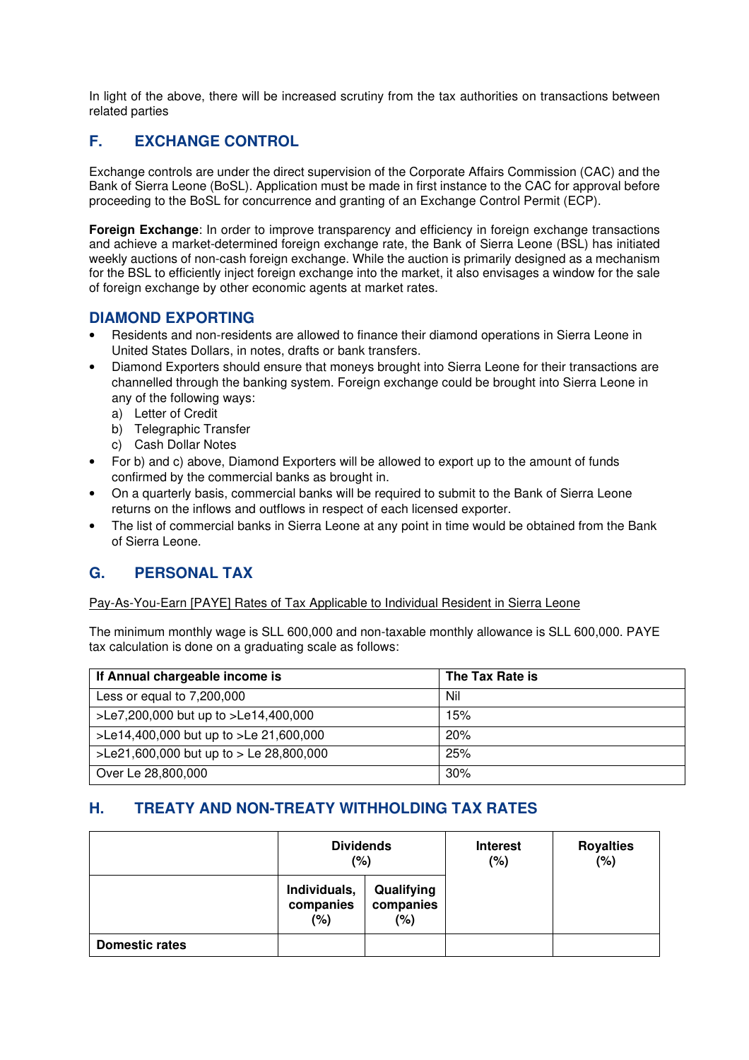In light of the above, there will be increased scrutiny from the tax authorities on transactions between related parties

# **F. EXCHANGE CONTROL**

Exchange controls are under the direct supervision of the Corporate Affairs Commission (CAC) and the Bank of Sierra Leone (BoSL). Application must be made in first instance to the CAC for approval before proceeding to the BoSL for concurrence and granting of an Exchange Control Permit (ECP).

**Foreign Exchange:** In order to improve transparency and efficiency in foreign exchange transactions and achieve a market-determined foreign exchange rate, the Bank of Sierra Leone (BSL) has initiated weekly auctions of non-cash foreign exchange. While the auction is primarily designed as a mechanism for the BSL to efficiently inject foreign exchange into the market, it also envisages a window for the sale of foreign exchange by other economic agents at market rates.

## **DIAMOND EXPORTING**

- Residents and non-residents are allowed to finance their diamond operations in Sierra Leone in United States Dollars, in notes, drafts or bank transfers.
- Diamond Exporters should ensure that moneys brought into Sierra Leone for their transactions are channelled through the banking system. Foreign exchange could be brought into Sierra Leone in any of the following ways:
	- a) Letter of Credit
	- b) Telegraphic Transfer
	- c) Cash Dollar Notes
- For b) and c) above, Diamond Exporters will be allowed to export up to the amount of funds confirmed by the commercial banks as brought in.
- On a quarterly basis, commercial banks will be required to submit to the Bank of Sierra Leone returns on the inflows and outflows in respect of each licensed exporter.
- The list of commercial banks in Sierra Leone at any point in time would be obtained from the Bank of Sierra Leone.

# **G. PERSONAL TAX**

#### Pay-As-You-Earn [PAYE] Rates of Tax Applicable to Individual Resident in Sierra Leone

The minimum monthly wage is SLL 600,000 and non-taxable monthly allowance is SLL 600,000. PAYE tax calculation is done on a graduating scale as follows:

| If Annual chargeable income is            | The Tax Rate is |
|-------------------------------------------|-----------------|
| Less or equal to $7,200,000$              | Nil             |
| >Le7,200,000 but up to >Le14,400,000      | 15%             |
| >Le14,400,000 but up to >Le 21,600,000    | 20%             |
| >Le21,600,000 but up to > Le $28,800,000$ | 25%             |
| Over Le 28,800,000                        | 30%             |

# **H. TREATY AND NON-TREATY WITHHOLDING TAX RATES**

|                       | <b>Dividends</b><br>(%)          |                                | <b>Interest</b><br>$(\%)$ | <b>Royalties</b><br>$(\%)$ |
|-----------------------|----------------------------------|--------------------------------|---------------------------|----------------------------|
|                       | Individuals,<br>companies<br>(%) | Qualifying<br>companies<br>(%) |                           |                            |
| <b>Domestic rates</b> |                                  |                                |                           |                            |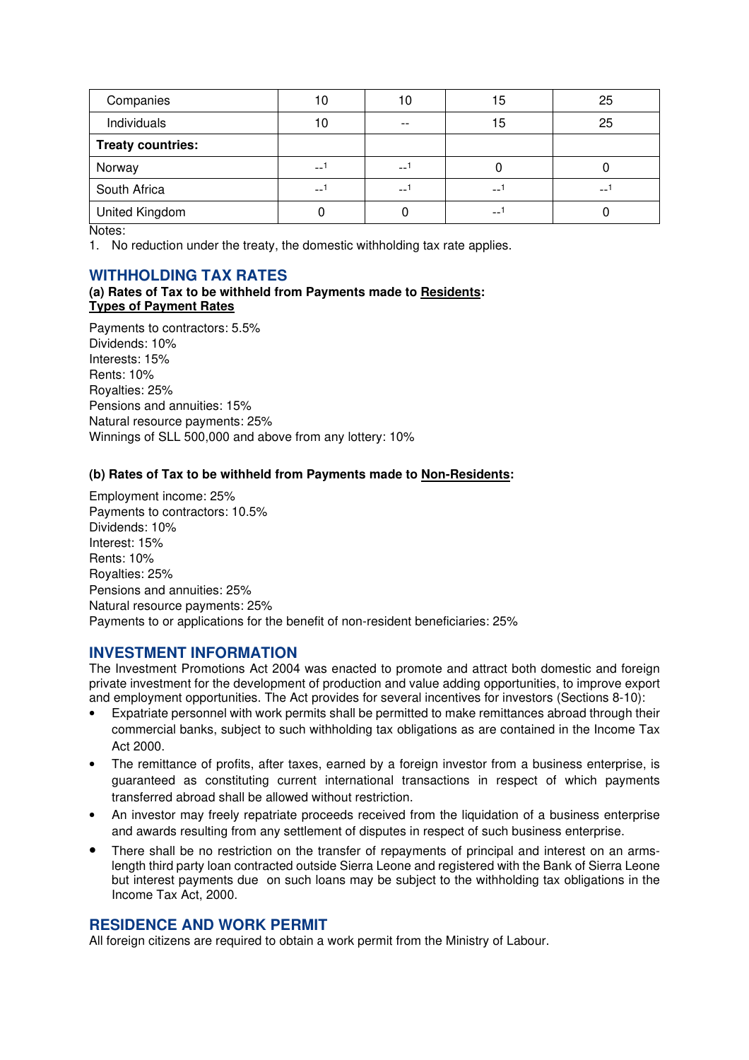| Companies                | 10   |       | 15    | 25 |
|--------------------------|------|-------|-------|----|
| Individuals              | 10   | $- -$ | 15    | 25 |
| <b>Treaty countries:</b> |      |       |       |    |
| Norway                   | $-1$ | $-$   |       |    |
| South Africa             | $-$  | $-$   | $-$   | -- |
| United Kingdom           |      |       | $- -$ |    |

Notes:

1. No reduction under the treaty, the domestic withholding tax rate applies.

## **WITHHOLDING TAX RATES**

#### **(a) Rates of Tax to be withheld from Payments made to Residents: Types of Payment Rates**

Payments to contractors: 5.5% Dividends: 10% Interests: 15% Rents: 10% Royalties: 25% Pensions and annuities: 15% Natural resource payments: 25% Winnings of SLL 500,000 and above from any lottery: 10%

### **(b) Rates of Tax to be withheld from Payments made to Non-Residents:**

Employment income: 25% Payments to contractors: 10.5% Dividends: 10% Interest: 15% Rents: 10% Royalties: 25% Pensions and annuities: 25% Natural resource payments: 25% Payments to or applications for the benefit of non-resident beneficiaries: 25%

## **INVESTMENT INFORMATION**

The Investment Promotions Act 2004 was enacted to promote and attract both domestic and foreign private investment for the development of production and value adding opportunities, to improve export and employment opportunities. The Act provides for several incentives for investors (Sections 8-10):

- Expatriate personnel with work permits shall be permitted to make remittances abroad through their commercial banks, subject to such withholding tax obligations as are contained in the Income Tax Act 2000.
- The remittance of profits, after taxes, earned by a foreign investor from a business enterprise, is guaranteed as constituting current international transactions in respect of which payments transferred abroad shall be allowed without restriction.
- An investor may freely repatriate proceeds received from the liquidation of a business enterprise and awards resulting from any settlement of disputes in respect of such business enterprise.
- There shall be no restriction on the transfer of repayments of principal and interest on an armslength third party loan contracted outside Sierra Leone and registered with the Bank of Sierra Leone but interest payments due on such loans may be subject to the withholding tax obligations in the Income Tax Act, 2000.

## **RESIDENCE AND WORK PERMIT**

All foreign citizens are required to obtain a work permit from the Ministry of Labour.